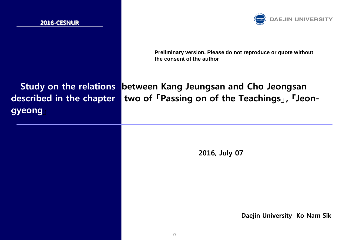## **2016-CESNUR**



**Preliminary version. Please do not reproduce or quote without the consent of the author**

# **gyeong』**

# **Study on the relations between Kang Jeungsan and Cho Jeongsan described in the chapter two of 「Passing on of the Teachings」, 『Jeon-**

**2016, July 07**

**Daejin University Ko Nam Sik**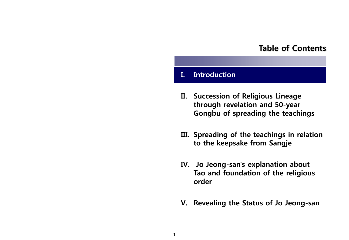## **Table of Contents**

## **I. Introduction**

- **II. Succession of Religious Lineage through revelation and 50-year Gongbu of spreading the teachings**
- **III. Spreading of the teachings in relation to the keepsake from Sangje**
- **IV. Jo Jeong-san's explanation about Tao and foundation of the religious order**
- **V. Revealing the Status of Jo Jeong-san**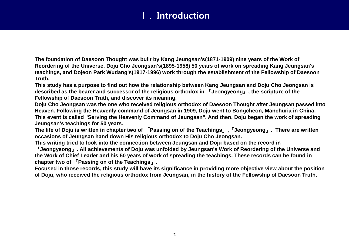# Ⅰ. **Introduction**

**The foundation of Daesoon Thought was built by Kang Jeungsan's(1871-1909) nine years of the Work of Reordering of the Universe, Doju Cho Jeongsan's(1895-1958) 50 years of work on spreading Kang Jeungsan's teachings, and Dojeon Park Wudang's(1917-1996) work through the establishment of the Fellowship of Daesoon Truth.** 

**This study has a purpose to find out how the relationship between Kang Jeungsan and Doju Cho Jeongsan is described as the bearer and successor of the religious orthodox in** 『**Jeongyeong**』**, the scripture of the Fellowship of Daesoon Truth, and discover its meaning.**

**Doju Cho Jeongsan was the one who received religious orthodox of Daesoon Thought after Jeungsan passed into Heaven. Following the Heavenly command of Jeungsan in 1909, Doju went to Bongcheon, Manchuria in China. This event is called "Serving the Heavenly Command of Jeungsan". And then, Doju began the work of spreading Jeungsan's teachings for 50 years.** 

**The life of Doju is written in chapter two of** 「**Passing on of the Teachings**」**,**『**Jeongyeong**』**. There are written occasions of Jeungsan hand down His religious orthodox to Doju Cho Jeongsan.** 

**This writing tried to look into the connection between Jeungsan and Doju based on the record in** 

『**Jeongyeong**』**. All achievements of Doju was unfolded by Jeungsan's Work of Reordering of the Universe and the Work of Chief Leader and his 50 years of work of spreading the teachings. These records can be found in chapter two of** 「**Passing on of the Teachings**」**.** 

**Focused in those records, this study will have its significance in providing more objective view about the position of Doju, who received the religious orthodox from Jeungsan, in the history of the Fellowship of Daesoon Truth.**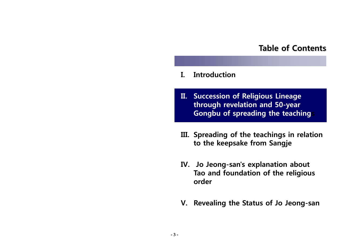## **Table of Contents**

## **I. Introduction**

- **II. Succession of Religious Lineage through revelation and 50-year Gongbu of spreading the teaching**
- **III. Spreading of the teachings in relation to the keepsake from Sangje**
- **IV. Jo Jeong-san's explanation about Tao and foundation of the religious order**
- **V. Revealing the Status of Jo Jeong-san**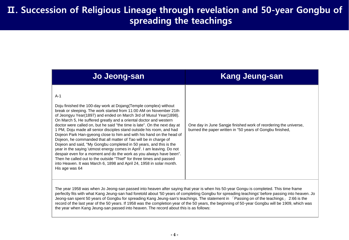| Jo Jeong-san                                                                                                                                                                                                                                                                                                                                                                                                                                                                                                                                                                                                                                                                                                                                                                                                                                                                                                                                                                          | <b>Kang Jeung-san</b>                                                                                                         |
|---------------------------------------------------------------------------------------------------------------------------------------------------------------------------------------------------------------------------------------------------------------------------------------------------------------------------------------------------------------------------------------------------------------------------------------------------------------------------------------------------------------------------------------------------------------------------------------------------------------------------------------------------------------------------------------------------------------------------------------------------------------------------------------------------------------------------------------------------------------------------------------------------------------------------------------------------------------------------------------|-------------------------------------------------------------------------------------------------------------------------------|
| $A-1$<br>Doju finished the 100-day work at Dojang (Temple complex) without<br>break or sleeping. The work started from 11:00 AM on November 21th<br>of Jeongyu Year(1897) and ended on March 3rd of Musul Year(1898).<br>On March 5, He suffered greatly and a oriental doctor and western<br>doctor were called on, but he said "the time is late". On the next day at<br>1 PM, Doju made all senior disciples stand outside his room, and had<br>Dojeon Park Han-gyeong close to him and with his hand on the head of<br>Dojeon, he commanded that all matter of Tao will be in charge of<br>Dojeon and said, "My Gongbu completed in 50 years, and this is the<br>year in the saying 'utmost energy comes in April'. I am leaving. Do not<br>despair even for a moment and do the work as you always have been".<br>Then he called out to the outside "Thief" for three times and passed<br>into Heaven. It was March 6, 1898 and April 24, 1958 in solar month.<br>His age was 64 | One day in June Sangje finished work of reordering the universe,<br>burned the paper written in "50 years of Gongbu finished, |

The year 1958 was when Jo Jeong-san passed into heaven after saying that year is when his 50-year Gongu is completed. This time frame perfectly fits with what Kang Jeung-san had foretold about '50 years of completing Gongbu for spreading teachings' before passing into heaven. Jo Jeong-san spent 50 years of Gongbu for spreading Kang Jeung-san's teachings. The statement in 「Passing on of the teachings」 2:66 is the record of the last year of the 50 years. If 1958 was the completion year of the 50 years, the beginning of 50-year Gongbu will be 1909, which was the year when Kang Jeung-san passed into heaven. The record about this is as follows: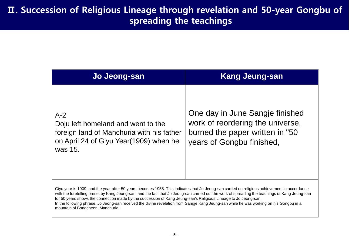| Jo Jeong-san                                                                                                                                                                                                                                                                                                                                                                                                                                                                                                                                                  | <b>Kang Jeung-san</b>                                                                                                               |
|---------------------------------------------------------------------------------------------------------------------------------------------------------------------------------------------------------------------------------------------------------------------------------------------------------------------------------------------------------------------------------------------------------------------------------------------------------------------------------------------------------------------------------------------------------------|-------------------------------------------------------------------------------------------------------------------------------------|
| $A-2$<br>Doju left homeland and went to the<br>foreign land of Manchuria with his father<br>on April 24 of Giyu Year(1909) when he<br>was 15.                                                                                                                                                                                                                                                                                                                                                                                                                 | One day in June Sangje finished<br>work of reordering the universe,<br>burned the paper written in "50<br>years of Gongbu finished, |
| Giyu year is 1909, and the year after 50 years becomes 1958. This indicates that Jo Jeong-san carried on religious achievement in accordance<br>with the foretelling preset by Kang Jeung-san, and the fact that Jo Jeong-san carried out the work of spreading the teachings of Kang Jeung-san<br>for 50 years shows the connection made by the succession of Kang Jeung-san's Religious Lineage to Jo Jeong-san.<br>In the following phrase, Jo Jeong-san received the divine revelation from Sangje Kang Jeung-san while he was working on his Gongbu in a |                                                                                                                                     |

mountain of Bongcheon, Manchuria.: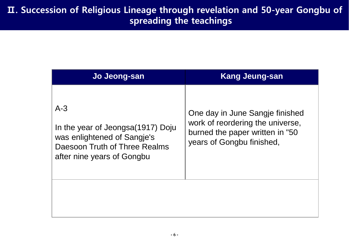| Jo Jeong-san                                                                                                                             | <b>Kang Jeung-san</b>                                                                                                               |
|------------------------------------------------------------------------------------------------------------------------------------------|-------------------------------------------------------------------------------------------------------------------------------------|
| $A-3$<br>In the year of Jeongsa(1917) Doju<br>was enlightened of Sangje's<br>Daesoon Truth of Three Realms<br>after nine years of Gongbu | One day in June Sangje finished<br>work of reordering the universe,<br>burned the paper written in "50<br>years of Gongbu finished, |
|                                                                                                                                          |                                                                                                                                     |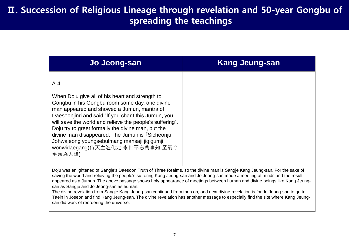| Jo Jeong-san                                                                                                                                                                                                                                                                                                                                                                                                                                                                     | <b>Kang Jeung-san</b> |
|----------------------------------------------------------------------------------------------------------------------------------------------------------------------------------------------------------------------------------------------------------------------------------------------------------------------------------------------------------------------------------------------------------------------------------------------------------------------------------|-----------------------|
| $A-4$<br>When Doju give all of his heart and strength to<br>Gongbu in his Gongbu room some day, one divine<br>man appeared and showed a Jumun, mantra of<br>Daesoonjinri and said "If you chant this Jumun, you<br>will save the world and relieve the people's suffering".<br>Doju try to greet formally the divine man, but the<br>divine man disappeared. The Jumun is Sicheonju<br>Johwajeong youngsebulmang mansaji jigigumji<br>wonwidaegang(侍天主造化定 永世不忘萬事知 至氣今<br>至願爲大降)」 |                       |

Doju was enlightened of Sangje's Daesoon Truth of Three Realms, so the divine man is Sangje Kang Jeung-san. For the sake of saving the world and relieving the people's suffering Kang Jeung-san and Jo Jeong-san made a meeting of minds and the result appeared as a Jumun. The above passage shows holy appearance of meetings between human and divine beings like Kang Jeungsan as Sangje and Jo Jeong-san as human.

The divine revelation from Sangje Kang Jeung-san continued from then on, and next divine revelation is for Jo Jeong-san to go to Taein in Joseon and find Kang Jeung-san. The divine revelation has another message to especially find the site where Kang Jeungsan did work of reordering the universe.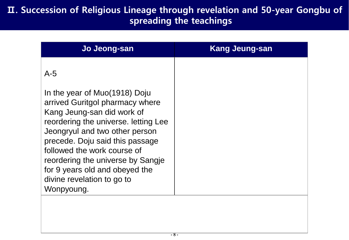| Jo Jeong-san                                                                                                                                                                                                                                                                                                               | <b>Kang Jeung-san</b> |
|----------------------------------------------------------------------------------------------------------------------------------------------------------------------------------------------------------------------------------------------------------------------------------------------------------------------------|-----------------------|
| $A-5$<br>In the year of Muo(1918) Doju<br>arrived Guritgol pharmacy where<br>Kang Jeung-san did work of<br>reordering the universe. letting Lee<br>Jeongryul and two other person<br>precede. Doju said this passage<br>followed the work course of<br>reordering the universe by Sangje<br>for 9 years old and obeyed the |                       |
| divine revelation to go to<br>Wonpyoung.                                                                                                                                                                                                                                                                                   |                       |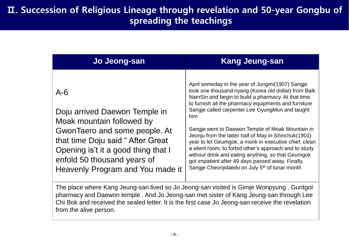| Jo Jeong-san                                                                                                                                                                                                                                         | <b>Kang Jeung-san</b>                                                                                                                                                                                                                                                                                                                                                                                                                                                                                                                                                                                                                                                                     |
|------------------------------------------------------------------------------------------------------------------------------------------------------------------------------------------------------------------------------------------------------|-------------------------------------------------------------------------------------------------------------------------------------------------------------------------------------------------------------------------------------------------------------------------------------------------------------------------------------------------------------------------------------------------------------------------------------------------------------------------------------------------------------------------------------------------------------------------------------------------------------------------------------------------------------------------------------------|
| $A - 6$<br>Doju arrived Daewon Temple in<br>Moak mountain followed by<br>GwonTaero and some people. At<br>that time Doju said "After Great<br>Opening is't it a good thing that I<br>enfold 50 thousand years of<br>Heavenly Program and You made it | April someday in the year of Jungmi(1907) Sangje<br>took one thousand nyang (Korea old dollar) from Baik<br>NamSin and begin to build a pharmacy. At that time<br>to furnish all the pharmacy equipments and furniture<br>Sangje called carpenter Lee GyungMun and taught<br>him<br>Sangje went to Daewon Temple of Moak Mountain in<br>Jeonju from the latter half of May in Shinchuk (1901)<br>year to let Geumgok, a monk in executive chief, clean<br>a silent room, to forbid other's approach and to study<br>without drink and eating anything, so that Geumgok<br>got impatient after 49 days passed away. Finally,<br>Sangje Cheonjidaedo on July 5 <sup>th</sup> of lunar month |

The place where Kang Jeung-san lived so Jo Jeong-san visited is Gimje Wonpyung , Guritgol pharmacy and Daewon temple . And Jo Jeong-san met sister of Kang Jeung-san through Lee Chi Bok and received the sealed letter. It is the first case Jo Jeong-san receive the revelation from the alive person.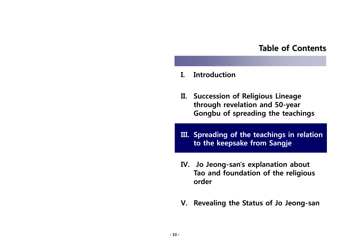## **Table of Contents**

- **I. Introduction**
- **II. Succession of Religious Lineage through revelation and 50-year Gongbu of spreading the teachings**
- **III. Spreading of the teachings in relation to the keepsake from Sangje**
- **IV. Jo Jeong-san's explanation about Tao and foundation of the religious order**
- **V. Revealing the Status of Jo Jeong-san**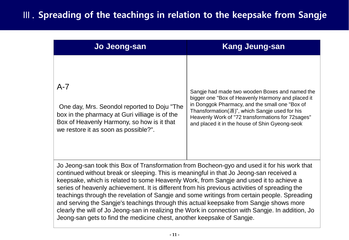# Ⅲ. **Spreading of the teachings in relation to the keepsake from Sangje**

| Jo Jeong-san                                                                                                                                                                                                                                                                                                                                                                                                                                                                                                                                                                                                                                                                                                                                              | <b>Kang Jeung-san</b>                                                                                                                                                                                                                                                                                          |
|-----------------------------------------------------------------------------------------------------------------------------------------------------------------------------------------------------------------------------------------------------------------------------------------------------------------------------------------------------------------------------------------------------------------------------------------------------------------------------------------------------------------------------------------------------------------------------------------------------------------------------------------------------------------------------------------------------------------------------------------------------------|----------------------------------------------------------------------------------------------------------------------------------------------------------------------------------------------------------------------------------------------------------------------------------------------------------------|
| $A-7$<br>One day, Mrs. Seondol reported to Doju "The<br>box in the pharmacy at Guri villiage is of the<br>Box of Heavenly Harmony, so how is it that<br>we restore it as soon as possible?".                                                                                                                                                                                                                                                                                                                                                                                                                                                                                                                                                              | Sangje had made two wooden Boxes and named the<br>bigger one "Box of Heavenly Harmony and placed it<br>in Donggok Pharmacy, and the small one "Box of<br>Thansformation(遁)", which Sangje used for his<br>Heavenly Work of "72 transformations for 72 sages"<br>and placed it in the house of Shin Gyeong-seok |
| Jo Jeong-san took this Box of Transformation from Bocheon-gyo and used it for his work that<br>continued without break or sleeping. This is meaningful in that Jo Jeong-san received a<br>keepsake, which is related to some Heavenly Work, from Sangje and used it to achieve a<br>series of heavenly achievement. It is different from his previous activities of spreading the<br>teachings through the revelation of Sangje and some writings from certain people. Spreading<br>and serving the Sangje's teachings through this actual keepsake from Sangje shows more<br>clearly the will of Jo Jeong-san in realizing the Work in connection with Sangje. In addition, Jo<br>Jeong-san gets to find the medicine chest, another keepsake of Sangje. |                                                                                                                                                                                                                                                                                                                |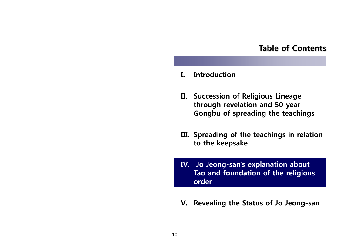## **Table of Contents**

- **I. Introduction**
- **II. Succession of Religious Lineage through revelation and 50-year Gongbu of spreading the teachings**
- **III. Spreading of the teachings in relation**  to the keepsake
- **IV. Jo Jeong-san's explanation about Tao and foundation of the religious order**
- **V. Revealing the Status of Jo Jeong-san**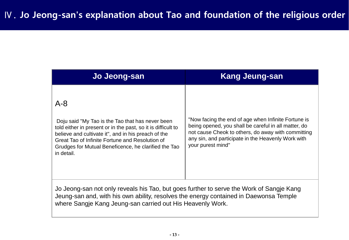| Jo Jeong-san                                                                                                                                                                                                                                                                                                | <b>Kang Jeung-san</b>                                                                                                                                                                                                                        |
|-------------------------------------------------------------------------------------------------------------------------------------------------------------------------------------------------------------------------------------------------------------------------------------------------------------|----------------------------------------------------------------------------------------------------------------------------------------------------------------------------------------------------------------------------------------------|
| $A - 8$<br>Doju said "My Tao is the Tao that has never been<br>told either in present or in the past, so it is difficult to<br>believe and cultivate it", and in his preach of the<br>Great Tao of Infinite Fortune and Resolution of<br>Grudges for Mutual Beneficence, he clarified the Tao<br>in detail. | "Now facing the end of age when Infinite Fortune is<br>being opened, you shall be careful in all matter, do<br>not cause Cheok to others, do away with committing<br>any sin, and participate in the Heavenly Work with<br>your purest mind" |
| Jo Jeong-san not only reveals his Tao, but goes further to serve the Work of Sangje Kang<br>Jeung-san and, with his own ability, resolves the energy contained in Daewonsa Temple<br>where Sangje Kang Jeung-san carried out His Heavenly Work.                                                             |                                                                                                                                                                                                                                              |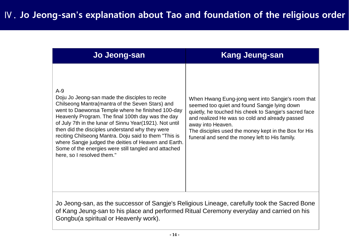| Jo Jeong-san                                                                                                                                                                                                                                                                                                                                                                                                                                                                                                                                | <b>Kang Jeung-san</b>                                                                                                                                                                                                                                                                                                                       |
|---------------------------------------------------------------------------------------------------------------------------------------------------------------------------------------------------------------------------------------------------------------------------------------------------------------------------------------------------------------------------------------------------------------------------------------------------------------------------------------------------------------------------------------------|---------------------------------------------------------------------------------------------------------------------------------------------------------------------------------------------------------------------------------------------------------------------------------------------------------------------------------------------|
| $A-9$<br>Doju Jo Jeong-san made the disciples to recite<br>Chilseong Mantra (mantra of the Seven Stars) and<br>went to Daewonsa Temple where he finished 100-day<br>Heavenly Program. The final 100th day was the day<br>of July 7th in the lunar of Sinnu Year (1921). Not until<br>then did the disciples understand why they were<br>reciting Chilseong Mantra. Doju said to them "This is<br>where Sangje judged the deities of Heaven and Earth.<br>Some of the energies were still tangled and attached<br>here, so I resolved them." | When Hwang Eung-jong went into Sangje's room that<br>seemed too quiet and found Sangje lying down<br>quietly, he touched his cheek to Sangje's sacred face<br>and realized He was so cold and already passed<br>away into Heaven.<br>The disciples used the money kept in the Box for His<br>funeral and send the money left to His family. |

Jo Jeong-san, as the successor of Sangje's Religious Lineage, carefully took the Sacred Bone of Kang Jeung-san to his place and performed Ritual Ceremony everyday and carried on his Gongbu(a spiritual or Heavenly work).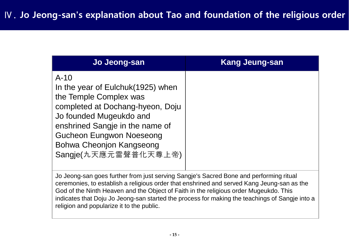| Jo Jeong-san                                                                                                                                                                                                                                                    | <b>Kang Jeung-san</b> |
|-----------------------------------------------------------------------------------------------------------------------------------------------------------------------------------------------------------------------------------------------------------------|-----------------------|
| $A-10$<br>In the year of Eulchuk (1925) when<br>the Temple Complex was<br>completed at Dochang-hyeon, Doju<br>Jo founded Mugeukdo and<br>enshrined Sangje in the name of<br><b>Gucheon Eungwon Noeseong</b><br>Bohwa Cheonjon Kangseong<br>Sangje(九天應元雷聲普化天尊上帝) |                       |

Jo Jeong-san goes further from just serving Sangje's Sacred Bone and performing ritual ceremonies, to establish a religious order that enshrined and served Kang Jeung-san as the God of the Ninth Heaven and the Object of Faith in the religious order Mugeukdo. This indicates that Doju Jo Jeong-san started the process for making the teachings of Sangje into a religion and popularize it to the public.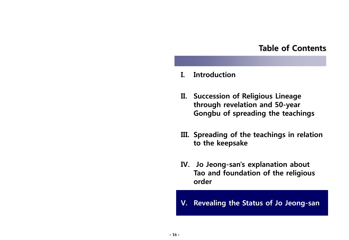## **Table of Contents**

## **I. Introduction**

- **II. Succession of Religious Lineage through revelation and 50-year Gongbu of spreading the teachings**
- **III. Spreading of the teachings in relation**  to the keepsake
- **IV. Jo Jeong-san's explanation about Tao and foundation of the religious order**
- **V. Revealing the Status of Jo Jeong-san**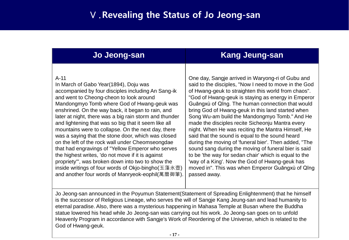## Ⅴ.**Revealing the Status of Jo Jeong-san**

| Jo Jeong-san                                                                                                                                                                                                                                                                                                                                                                                                                                                                                                                                                                                                                                                                                                                                                                                                    | <b>Kang Jeung-san</b>                                                                                                                                                                                                                                                                                                                                                                                                                                                                                                                                                                                                                                                                                                                                                                                                                          |
|-----------------------------------------------------------------------------------------------------------------------------------------------------------------------------------------------------------------------------------------------------------------------------------------------------------------------------------------------------------------------------------------------------------------------------------------------------------------------------------------------------------------------------------------------------------------------------------------------------------------------------------------------------------------------------------------------------------------------------------------------------------------------------------------------------------------|------------------------------------------------------------------------------------------------------------------------------------------------------------------------------------------------------------------------------------------------------------------------------------------------------------------------------------------------------------------------------------------------------------------------------------------------------------------------------------------------------------------------------------------------------------------------------------------------------------------------------------------------------------------------------------------------------------------------------------------------------------------------------------------------------------------------------------------------|
| $A-11$<br>In March of Gabo Year (1894), Doju was<br>accompanied by four disciples including An Sang-ik<br>and went to Cheong-cheon to look around<br>Mandongmyo Tomb where God of Hwang-geuk was<br>enshrined. On the way back, it began to rain, and<br>later at night, there was a big rain storm and thunder<br>and lightening that was so big that it seem like all<br>mountains were to collapse. On the next day, there<br>was a saying that the stone door, which was closed<br>on the left of the rock wall under Cheomseongdae<br>that had engravings of "Yellow Emperor who serves<br>the highest writes, 'do not move if it is against<br>propriety", was broken down into two to show the<br>inside writings of four words of Okjo-bingho(玉藻氷壺)<br>and another four words of Manryeok-eophil(萬曆御筆). | One day, Sangje arrived in Waryong-ri of Gubu and<br>said to the disciples, "Now I need to move in the God<br>of Hwang-geuk to straighten this world from chaos".<br>"God of Hwang-geuk is staying as energy in Emperor<br>Guāngxù of Qīng. The human connection that would<br>bring God of Hwang-geuk in this land started when<br>Song Wu-am build the Mandongmyo Tomb." And He<br>made the disciples recite Sicheonju Mantra every<br>night. When He was reciting the Mantra Himself, He<br>said that the sound is equal to the sound heard<br>during the moving of 'funeral bier'. Then added, "The<br>sound sang during the moving of funeral bier is said<br>to be 'the way for sedan chair' which is equal to the<br>'way of a King'. Now the God of Hwang-geuk has<br>moved in". This was when Emperor Guangxù of Qing<br>passed away. |

Jo Jeong-san announced in the Poyumun Statement(Statement of Spreading Enlightenment) that he himself is the successor of Religious Lineage, who serves the will of Sangje Kang Jeung-san and lead humanity to eternal paradise. Also, there was a mysterious happening in Mahasa Temple at Busan where the Buddha statue lowered his head while Jo Jeong-san was carrying out his work. Jo Jeong-san goes on to unfold Heavenly Program in accordance with Sangje's Work of Reordering of the Universe, which is related to the God of Hwang-geuk.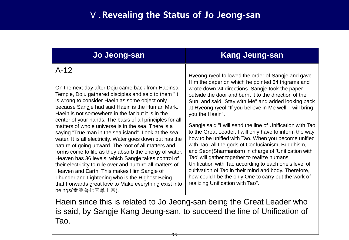# Ⅴ.**Revealing the Status of Jo Jeong-san**

| Jo Jeong-san                                                                                                                                                                                                                                                                                                                                                                                                                                                                                                                                                                                                                                                                                                                                                                                                                                                                                                                                  | <b>Kang Jeung-san</b>                                                                                                                                                                                                                                                                                                                                                                                                                                                                                                                                                                                                                                                                                                                                                                                                                                                                                              |
|-----------------------------------------------------------------------------------------------------------------------------------------------------------------------------------------------------------------------------------------------------------------------------------------------------------------------------------------------------------------------------------------------------------------------------------------------------------------------------------------------------------------------------------------------------------------------------------------------------------------------------------------------------------------------------------------------------------------------------------------------------------------------------------------------------------------------------------------------------------------------------------------------------------------------------------------------|--------------------------------------------------------------------------------------------------------------------------------------------------------------------------------------------------------------------------------------------------------------------------------------------------------------------------------------------------------------------------------------------------------------------------------------------------------------------------------------------------------------------------------------------------------------------------------------------------------------------------------------------------------------------------------------------------------------------------------------------------------------------------------------------------------------------------------------------------------------------------------------------------------------------|
| $A-12$<br>On the next day after Doju came back from Haeinsa<br>Temple, Doju gathered disciples and said to them "It<br>is wrong to consider Haein as some object only<br>because Sangje had said Haein is the Human Mark.<br>Haein is not somewhere in the far but it is in the<br>center of your hands. The basis of all principles for all<br>matters of whole universe is in the sea. There is a<br>saying "True man in the sea island". Look at the sea<br>water. It is all electricity. Water goes down but has the<br>nature of going upward. The root of all matters and<br>forms come to life as they absorb the energy of water.<br>Heaven has 36 levels, which Sangje takes control of<br>their electricity to rule over and nurture all matters of<br>Heaven and Earth. This makes Him Sangje of<br>Thunder and Lightening who is the Highest Being<br>that Forwards great love to Make everything exist into<br>beings(雷聲普化天尊上帝). | Hyeong-ryeol followed the order of Sangje and gave<br>Him the paper on which he pointed 64 trigrams and<br>wrote down 24 directions. Sangle took the paper<br>outside the door and burnt it to the direction of the<br>Sun, and said "Stay with Me" and added looking back<br>at Hyeong-ryeol "If you believe in Me well, I will bring<br>you the Haein".<br>Sangje said "I will send the line of Unification with Tao<br>to the Great Leader. I will only have to inform the way<br>how to be unified with Tao. When you become unified<br>with Tao, all the gods of Confucianism, Buddhism,<br>and Seon(Sharmanism) in charge of 'Unification with<br>Tao' will gather together to realize humans'<br>Unification with Tao according to each one's level of<br>cultivation of Tao in their mind and body. Therefore,<br>how could I be the only One to carry out the work of<br>realizing Unification with Tao". |

Haein since this is related to Jo Jeong-san being the Great Leader who is said, by Sangje Kang Jeung-san, to succeed the line of Unification of Tao.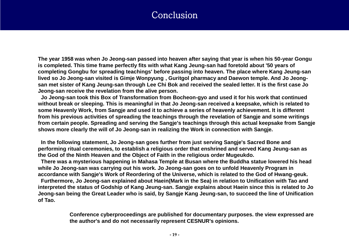## Conclusion

**The year 1958 was when Jo Jeong-san passed into heaven after saying that year is when his 50-year Gongu is completed. This time frame perfectly fits with what Kang Jeung-san had foretold about '50 years of completing Gongbu for spreading teachings' before passing into heaven. The place where Kang Jeung-san lived so Jo Jeong-san visited is Gimje Wonpyung , Guritgol pharmacy and Daewon temple. And Jo Jeongsan met sister of Kang Jeung-san through Lee Chi Bok and received the sealed letter. It is the first case Jo Jeong-san receive the revelation from the alive person.**

**Jo Jeong-san took this Box of Transformation from Bocheon-gyo and used it for his work that continued without break or sleeping. This is meaningful in that Jo Jeong-san received a keepsake, which is related to some Heavenly Work, from Sangje and used it to achieve a series of heavenly achievement. It is different from his previous activities of spreading the teachings through the revelation of Sangje and some writings from certain people. Spreading and serving the Sangje's teachings through this actual keepsake from Sangje shows more clearly the will of Jo Jeong-san in realizing the Work in connection with Sangje.**

**In the following statement, Jo Jeong-san goes further from just serving Sangje's Sacred Bone and performing ritual ceremonies, to establish a religious order that enshrined and served Kang Jeung-san as the God of the Ninth Heaven and the Object of Faith in the religious order Mugeukdo.**

**There was a mysterious happening in Mahasa Temple at Busan where the Buddha statue lowered his head while Jo Jeong-san was carrying out his work. Jo Jeong-san goes on to unfold Heavenly Program in accordance with Sangje's Work of Reordering of the Universe, which is related to the God of Hwang-geuk.**

**Furthermore, Jo Jeong-san explained about Haein(Mark in the Sea) in relation to Unification with Tao and interpreted the status of Godship of Kang Jeung-san. Sangje explains about Haein since this is related to Jo Jeong-san being the Great Leader who is said, by Sangje Kang Jeung-san, to succeed the line of Unification of Tao.** 

> **Conference cyberproceedings are published for documentary purposes. the view expressed are the author's and do not necessarily represent CESNUR's opinions.**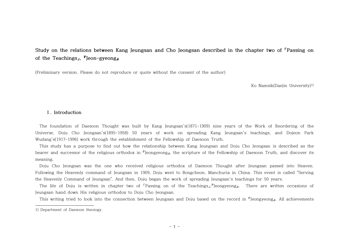## **Study on the relations between Kang Jeungsan and Cho Jeongsan described in the chapter two of 「Passing on of the Teachings」, 『Jeon-gyeong』**

(Preliminary version. Please do not reproduce or quote without the consent of the author)

Ko Namsik(Daejin University)1)

#### **Ⅰ. Introduction**

The foundation of Daesoon Thought was built by Kang Jeungsan's(1871-1909) nine years of the Work of Reordering of the Universe, Doju Cho Jeongsan's(1895-1958) 50 years of work on spreading Kang Jeungsan's teachings, and Dojeon Park Wudang's(1917-1996) work through the establishment of the Fellowship of Daesoon Truth.

This study has a purpose to find out how the relationship between Kang Jeungsan and Doju Cho Jeongsan is described as the bearer and successor of the religious orthodox in <sup>F</sup>Jeongyeong<sub>a</sub>, the scripture of the Fellowship of Daesoon Truth, and discover its meaning.

Doju Cho Jeongsan was the one who received religious orthodox of Daesoon Thought after Jeungsan passed into Heaven. Following the Heavenly command of Jeungsan in 1909, Doju went to Bongcheon, Manchuria in China. This event is called "Serving the Heavenly Command of Jeungsan". And then, Doju began the work of spreading Jeungsan's teachings for 50 years.

The life of Doju is written in chapter two of 「Passing on of the Teachings」,『Jeongyeong』. There are written occasions of Jeungsan hand down His religious orthodox to Doju Cho Jeongsan.

This writing tried to look into the connection between Jeungsan and Doju based on the record in 『Jeongyeong』. All achievements

<sup>1)</sup> Department of Daesoon theoiogy.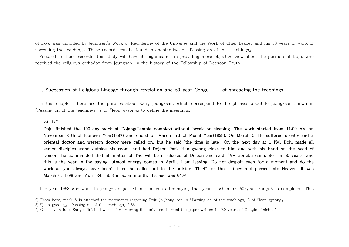of Doju was unfolded by Jeungsan's Work of Reordering of the Universe and the Work of Chief Leader and his 50 years of work of spreading the teachings. These records can be found in chapter two of <sup>r</sup>Passing on of the Teachings」.<br>Focused in those records, this study will have its significance in providing more objective view about the position of

received the religious orthodox from Jeungsan, in the history of the Fellowship of Daesoon Truth.

#### **Ⅱ. Succession of Religious Lineage through revelation and 50-year Gongu of spreading the teachings**

 In this chapter, there are the phrases about Kang Jeung-san, which correspond to the phrases about Jo Jeong-san shown in  $\lceil$  Passing on of the teachings 2 of  $\lceil$  Jeon-gyeong<sub>n</sub> to define the meanings.

#### **<A-1>2)**

**Doju finished the 100-day work at Dojang(Temple complex) without break or sleeping. The work started from 11:00 AM on November 21th of Jeongyu Year(1897) and ended on March 3rd of Musul Year(1898). On March 5, He suffered greatly and a oriental doctor and western doctor were called on, but he said "the time is late". On the next day at 1 PM, Doju made all senior disciples stand outside his room, and had Dojeon Park Han-gyeong close to him and with his hand on the head of Dojeon, he commanded that all matter of Tao will be in charge of Dojeon and said, "My Gongbu completed in 50 years, and this is the year in the saying 'utmost energy comes in April'. I am leaving. Do not despair even for a moment and do the work as you always have been". Then he called out to the outside "Thief" for three times and passed into Heaven. It was March 6, 1898 and April 24, 1958 in solar month. His age was 64.3)**

The year 1958 was when Jo Jeong-san passed into heaven after saying that year is when his 50-year Gongu<sup>4)</sup> is completed. This

<sup>2)</sup> From here, mark A is attached for statements regarding Doju Jo Jeong-san in 「Passing on of the teachings」 2 of 『Jeon-gyeong』 3) 『Jeon-gyeong』, 「Passing on of the teachings」 2:66.

<sup>4)</sup> One day in June Sangje finished work of reordering the universe, burned the paper written in "50 years of Gongbu finished"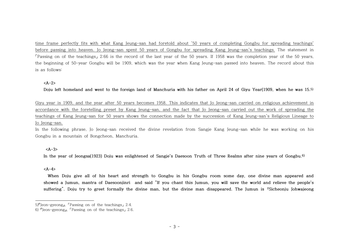time frame perfectly fits with what Kang Jeung-san had foretold about '50 years of completing Gongbu for spreading teachings' before passing into heaven. Jo Jeong-san spent 50 years of Gongbu for spreading Kang Jeung-san's teachings. The statement in 「Passing on of the teachings」 2:66 is the record of the last year of the 50 years. If 1958 was the completion year of the 50 years, the beginning of 50-year Gongbu will be 1909, which was the year when Kang Jeung-san passed into heaven. The record about this is as follows:

#### **<A-2>**

**Doju left homeland and went to the foreign land of Manchuria with his father on April 24 of Giyu Year(1909, when he was 15.5)**

Giyu year is 1909, and the year after 50 years becomes 1958. This indicates that Jo Jeong-san carried on religious achievement in accordance with the foretelling preset by Kang Jeung-san, and the fact that Jo Jeong-san carried out the work of spreading the teachings of Kang Jeung-san for 50 years shows the connection made by the succession of Kang Jeung-san's Religious Lineage to Jo Jeong-san.

In the following phrase, Jo Jeong-san received the divine revelation from Sangje Kang Jeung-san while he was working on his Gongbu in a mountain of Bongcheon, Manchuria.

#### **<A-3>**

**In the year of Jeongsa(1923) Doju was enlightened of Sangje's Daesoon Truth of Three Realms after nine years of Gongbu.6)**

#### **<A-4>**

 **When Doju give all of his heart and strength to Gongbu in his Gongbu room some day, one divine man appeared and showed a Jumun, mantra of Daesoonjinri and said "If you chant this Jumun, you will save the world and relieve the people's suffering". Doju try to greet formally the divine man, but the divine man disappeared. The Jumun is 「Sicheonju Johwajeong** 

<sup>5)『</sup>Jeon-gyeong』, 「Passing on of the teachings」 2:4.

<sup>6)</sup> 『Jeon-gyeong』, 「Passing on of the teachings」 2:6.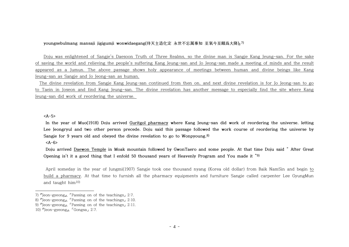#### **youngsebulmang mansaji jigigumji wonwidaegang(侍天主造化定 永世不忘萬事知 至氣今至願爲大降)」7)**

Doju was enlightened of Sangje's Daesoon Truth of Three Realms, so the divine man is Sangje Kang Jeung-san. For the sake of saving the world and relieving the people's suffering Kang Jeung-san and Jo Jeong-san made a meeting of minds and the result appeared as a Jumun. The above passage shows holy appearance of meetings between human and divine beings like Kang Jeung-san as Sangje and Jo Jeong-san as human.

 The divine revelation from Sangje Kang Jeung-san continued from then on, and next divine revelation is for Jo Jeong-san to go to Taein in Joseon and find Kang Jeung-san. The divine revelation has another message to especially find the site where Kang Jeung-san did work of reordering the universe.

**<A-5>**

**In the year of Muo(1918) Doju arrived Guritgol pharmacy where Kang Jeung-san did work of reordering the universe. letting Lee Jeongryul and two other person precede. Doju said this passage followed the work course of reordering the universe by Sangje for 9 years old and obeyed the divine revelation to go to Wonpyoung.8)** 

**<A-6>**

**Doju arrived Daewon Temple in Moak mountain followed by GwonTaero and some people. At that time Doju said " After Great**  Opening is't it a good thing that I enfold 50 thousand years of Heavenly Program and You made it "9)<br>April someday in the year of Jungmi(1907) Sangje took one thousand nyang (Korea old dollar) from Baik NamSin and begin to

build a pharmacy. At that time to furnish all the pharmacy equipments and furniture Sangje called carpenter Lee GyungMun and taught  $him<sup>10</sup>$ 

<sup>7)</sup> 『Jeon-gyeong』, 「Passing on of the teachings」 2:7.

<sup>8)</sup> 『Jeon-gyeong』, 「Passing on of the teachings」 2:10.

<sup>9) 『</sup>Jeon-gyeong』, 「Passing on of the teachings」 2:11.

<sup>10)</sup> 『Jeon-gyeong』, 「Gongsa」 2:7.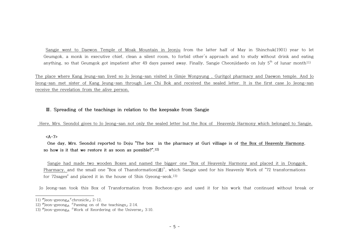Sangje went to Daewon Temple of Moak Mountain in Jeonju from the latter half of May in Shinchuk(1901) year to let Geumgok, a monk in executive chief, clean a silent room, to forbid other's approach and to study without drink and eating anything, so that Geumgok got impatient after 49 days passed away. Finally, Sangje Cheonjidaedo on July  $5^{\rm th}$  of lunar month $^{11)}$ 

The place where Kang Jeung-san lived so Jo Jeong-san visited is Gimje Wonpyung , Guritgol pharmacy and Daewon temple. And Jo Jeong-san met sister of Kang Jeung-san through Lee Chi Bok and received the sealed letter. It is the first case Jo Jeong-san receive the revelation from the alive person.

### **Ⅲ. Spreading of the teachings in relation to the keepsake from Sangje**

Here, Mrs. Seondol gives to Jo Jeong-san not only the sealed letter but the Box of Heavenly Harmony which belonged to Sangje.

**<A-7>**

**One day, Mrs. Seondol reported to Doju "The box in the pharmacy at Guri villiage is of the Box of Heavenly Harmony, so how is it that we restore it as soon as possible?".12)**

Sangje had made two wooden Boxes and named the bigger one "Box of Heavenly Harmony and placed it in Donggok Pharmacy, and the small one "Box of Thansformation(遁)", which Sangje used for his Heavenly Work of "72 transformations for 72sages" and placed it in the house of Shin Gyeong-seok.13)

Jo Jeong-san took this Box of Transformation from Bocheon-gyo and used it for his work that continued without break or

<sup>11) 『</sup>Jeon-gyeong』, 「chronicle」 2-12.

<sup>12)</sup>  $\Gamma$ Jeon-gyeong<sub>J</sub>, <sup>r</sup>Passing on of the teachings<sub>J</sub> 2:14.

<sup>13) 『</sup>Jeon-gyeong』, 「Work of Reordering of the Universe」 3:10.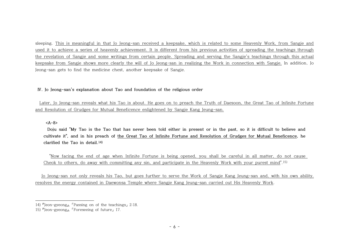sleeping. This is meaningful in that Jo Jeong-san received a keepsake, which is related to some Heavenly Work, from Sangje and used it to achieve a series of heavenly achievement. It is different from his previous activities of spreading the teachings through the revelation of Sangje and some writings from certain people. Spreading and serving the Sangje's teachings through this actual keepsake from Sangje shows more clearly the will of Jo Jeong-san in realizing the Work in connection with Sangje. In addition, Jo Jeong-san gets to find the medicine chest, another keepsake of Sangje.

#### **Ⅳ. Jo Jeong-san's explanation about Tao and foundation of the religious order**

Later, Jo Jeong-san reveals what his Tao is about. He goes on to preach the Truth of Daesoon, the Great Tao of Infinite Fortune and Resolution of Grudges for Mutual Beneficence enlightened by Sangje Kang Jeung-san.

**<A-8>**

**Doju said "My Tao is the Tao that has never been told either in present or in the past, so it is difficult to believe and cultivate it", and in his preach of the Great Tao of Infinite Fortune and Resolution of Grudges for Mutual Beneficence, he clarified the Tao in detail.14)**

"Now facing the end of age when Infinite Fortune is being opened, you shall be careful in all matter, do not cause Cheok to others, do away with committing any sin, and participate in the Heavenly Work with your purest mind".15)

 Jo Jeong-san not only reveals his Tao, but goes further to serve the Work of Sangje Kang Jeung-san and, with his own ability, resolves the energy contained in Daewonsa Temple where Sangje Kang Jeung-san carried out His Heavenly Work.

<sup>14) 『</sup>Jeon-gyeong』, 「Passing on of the teachings」 2:18.

<sup>15)</sup> 『Jeon-gyeong』, 「Foreseeing of future」 17.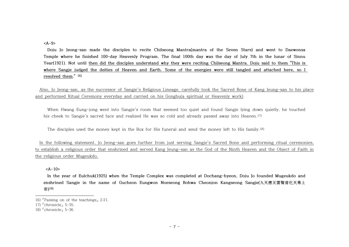**<A-9>**

**Doju Jo Jeong-san made the disciples to recite Chilseong Mantra(mantra of the Seven Stars) and went to Daewonsa Temple where he finished 100-day Heavenly Program. The final 100th day was the day of July 7th in the lunar of Sinnu Year(1921). Not until then did the disciples understand why they were reciting Chilseong Mantra. Doju said to them "This is where Sangje judged the deities of Heaven and Earth. Some of the energies were still tangled and attached here, so I resolved them." 16)**

 Also, Jo Jeong-san, as the successor of Sangje's Religious Lineage, carefully took the Sacred Bone of Kang Jeung-san to his place and performed Ritual Ceremony everyday and carried on his Gongbu(a spiritual or Heavenly work).

When Hwang Eung-jong went into Sangje's room that seemed too quiet and found Sangje lying down quietly, he touched his cheek to Sangje's sacred face and realized He was so cold and already passed away into Heaven.<sup>17)</sup>

The disciples used the money kept in the Box for His funeral and send the money left to His family.18)

 In the following statement, Jo Jeong-san goes further from just serving Sangje's Sacred Bone and performing ritual ceremonies, to establish a religious order that enshrined and served Kang Jeung-san as the God of the Ninth Heaven and the Object of Faith in the religious order Mugeukdo.

**<A-10>**

**In the year of Eulchuk(1925) when the Temple Complex was completed at Dochang-hyeon, Doju Jo founded Mugeukdo and enshrined Sangje in the name of Gucheon Eungwon Noeseong Bohwa Cheonjon Kangseong Sangje(九天應元雷聲普化天尊上 帝)19)**

<sup>16)</sup> 「Passing on of the teachings」 2:21.

<sup>17)</sup> 「chronicle」 5-35.

<sup>18)</sup> 「chronicle」 5-36.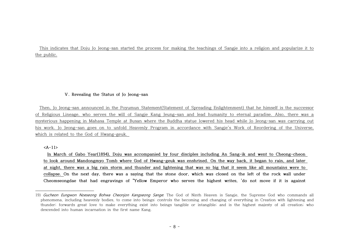This indicates that Doju Jo Jeong-san started the process for making the teachings of Sangje into a religion and popularize it to the public.

#### **Ⅴ. Revealing the Status of Jo Jeong-san**

 Then, Jo Jeong-san announced in the Poyumun Statement(Statement of Spreading Enlightenment) that he himself is the successor of Religious Lineage, who serves the will of Sangje Kang Jeung-san and lead humanity to eternal paradise. Also, there was a mysterious happening in Mahasa Temple at Busan where the Buddha statue lowered his head while Jo Jeong-san was carrying out his work. Jo Jeong-san goes on to unfold Heavenly Program in accordance with Sangje's Work of Reordering of the Universe, which is related to the God of Hwang-geuk.

**<A-11>**

**In March of Gabo Year(1894), Doju was accompanied by four disciples including An Sang-ik and went to Cheong-cheon to look around Mandongmyo Tomb where God of Hwang-geuk was enshrined. On the way back, it began to rain, and later at night, there was a big rain storm and thunder and lightening that was so big that it seem like all mountains were to collapse. On the next day, there was a saying that the stone door, which was closed on the left of the rock wall under Cheomseongdae that had engravings of "Yellow Emperor who serves the highest writes, 'do not move if it is against** 

<sup>19)</sup> Gucheon Eungwon Noeseong Bohwa Cheonjon Kangseong Sange. The God of Ninth Heaven is Sangje, the Supreme God who commands all phenomena, including heavenly bodies, to come into beings; controls the becoming and changing of everything in Creation with lightening and thunder; forwards great love to make everything exist into beings tangible or intangible; and is the highest majesty of all creation; who descended into human incarnation in the first name Kang.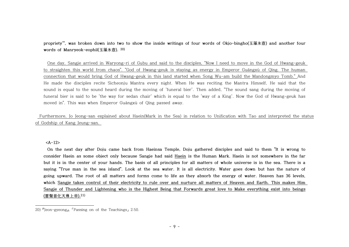**propriety'", was broken down into two to show the inside writings of four words of Okjo-bingho(玉藻氷壺) and another four words of Manryeok-eophil(玉藻氷壺). 20)**

One day, Sangje arrived in Waryong-ri of Gubu and said to the disciples, "Now I need to move in the God of Hwang-geuk to straighten this world from chaos". "God of Hwang-geuk is staying as energy in Emperor Guāngxù of Qīng. The human connection that would bring God of Hwang-geuk in this land started when Song Wu-am build the Mandongmyo Tomb." And He made the disciples recite Sicheonju Mantra every night. When He was reciting the Mantra Himself, He said that the sound is equal to the sound heard during the moving of 'funeral bier'. Then added, "The sound sang during the moving of funeral bier is said to be 'the way for sedan chair' which is equal to the 'way of a King'. Now the God of Hwang-geuk has moved in". This was when Emperor Guāngxù of Qīng passed away.

Furthermore, Jo Jeong-san explained about Haein(Mark in the Sea) in relation to Unification with Tao and interpreted the status of Godship of Kang Jeung-san.

**<A-12>**

**On the next day after Doju came back from Haeinsa Temple, Doju gathered disciples and said to them "It is wrong to consider Haein as some object only because Sangje had said Haein is the Human Mark. Haein is not somewhere in the far but it is in the center of your hands. The basis of all principles for all matters of whole universe is in the sea. There is a saying "True man in the sea island". Look at the sea water. It is all electricity. Water goes down but has the nature of going upward. The root of all matters and forms come to life as they absorb the energy of water. Heaven has 36 levels, which Sangje takes control of their electricity to rule over and nurture all matters of Heaven and Earth. This makes Him Sangje of Thunder and Lightening who is the Highest Being that Forwards great love to Make everything exist into beings (雷聲普化天尊上帝).21)**

<sup>20)</sup> 『Jeon-gyeong』, 「Passing on of the Teachings」 2:50.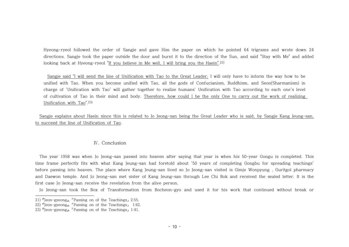Hyeong-ryeol followed the order of Sangje and gave Him the paper on which he pointed 64 trigrams and wrote down 24 directions. Sangie took the paper outside the door and burnt it to the direction of the Sun, and said "Stay with Me" and added looking back at Hyeong-ryeol "If you believe in Me well, I will bring you the Haein".<sup>22)</sup>

Sangje said "I will send the line of Unification with Tao to the Great Leader. I will only have to inform the way how to be unified with Tao. When you become unified with Tao, all the gods of Confucianism, Buddhism, and Seon(Sharmanism) in charge of 'Unification with Tao' will gather together to realize humans' Unification with Tao according to each one's level of cultivation of Tao in their mind and body. Therefore, how could I be the only One to carry out the work of realizing Unification with Tao".23)

 Sangje explains about Haein since this is related to Jo Jeong-san being the Great Leader who is said, by Sangje Kang Jeung-san, to succeed the line of Unification of Tao.

#### Ⅳ. Conclusion

 The year 1958 was when Jo Jeong-san passed into heaven after saying that year is when his 50-year Gongu is completed. This time frame perfectly fits with what Kang Jeung-san had foretold about '50 years of completing Gongbu for spreading teachings' before passing into heaven. The place where Kang Jeung-san lived so Jo Jeong-san visited is Gimje Wonpyung , Guritgol pharmacy and Daewon temple. And Jo Jeong-san met sister of Kang Jeung-san through Lee Chi Bok and received the sealed letter. It is the first case Jo Jeong-san receive the revelation from the alive person.

Jo Jeong-san took the Box of Transformation from Bocheon-gyo and used it for his work that continued without break or

<sup>21)</sup> 『Jeon-gyeong』, 「Passing on of the Teachings」 2:55.

<sup>22)</sup> 『Jeon-gyeong』, 「Passing on of the Teachings」 1:62.

<sup>23)</sup> 『Jeon-gyeong』, 「Passing on of the Teachings」 1:41.